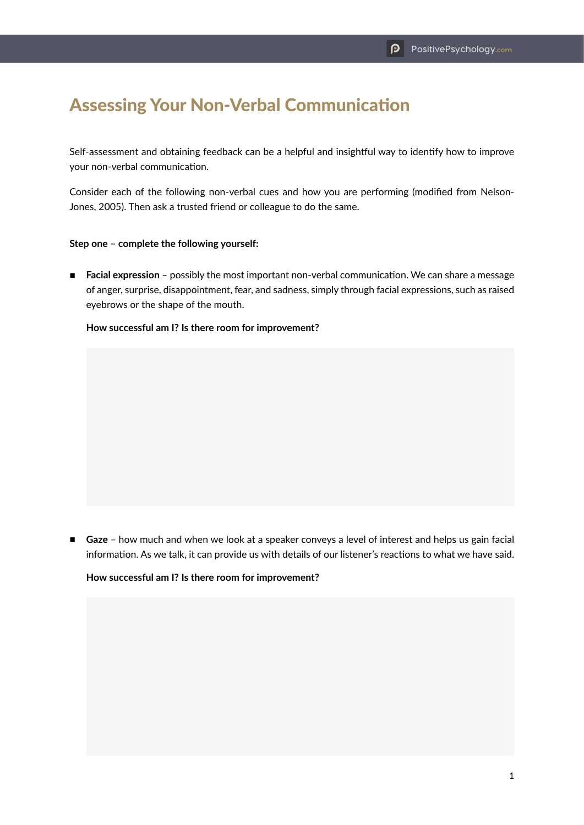# Assessing Your Non-Verbal Communication

Self-assessment and obtaining feedback can be a helpful and insightful way to identify how to improve your non-verbal communication.

Consider each of the following non-verbal cues and how you are performing (modified from Nelson-Jones, 2005). Then ask a trusted friend or colleague to do the same.

#### **Step one – complete the following yourself:**

■ **Facial expression** – possibly the most important non-verbal communication. We can share a message of anger, surprise, disappointment, fear, and sadness, simply through facial expressions, such as raised eyebrows or the shape of the mouth.

## **How successful am I? Is there room for improvement?**

■ **Gaze** - how much and when we look at a speaker conveys a level of interest and helps us gain facial information. As we talk, it can provide us with details of our listener's reactions to what we have said.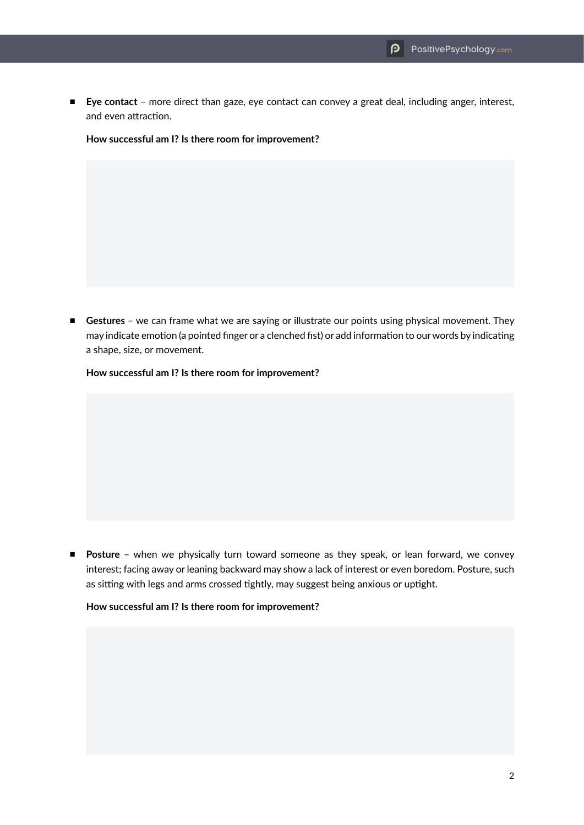■ **Eye contact** – more direct than gaze, eye contact can convey a great deal, including anger, interest, and even attraction.

**How successful am I? Is there room for improvement?**

■ **Gestures** – we can frame what we are saying or illustrate our points using physical movement. They may indicate emotion (a pointed finger or a clenched fist) or add information to our words by indicating a shape, size, or movement.

**How successful am I? Is there room for improvement?**

■ **Posture** - when we physically turn toward someone as they speak, or lean forward, we convey interest; facing away or leaning backward may show a lack of interest or even boredom. Posture, such as sitting with legs and arms crossed tightly, may suggest being anxious or uptight.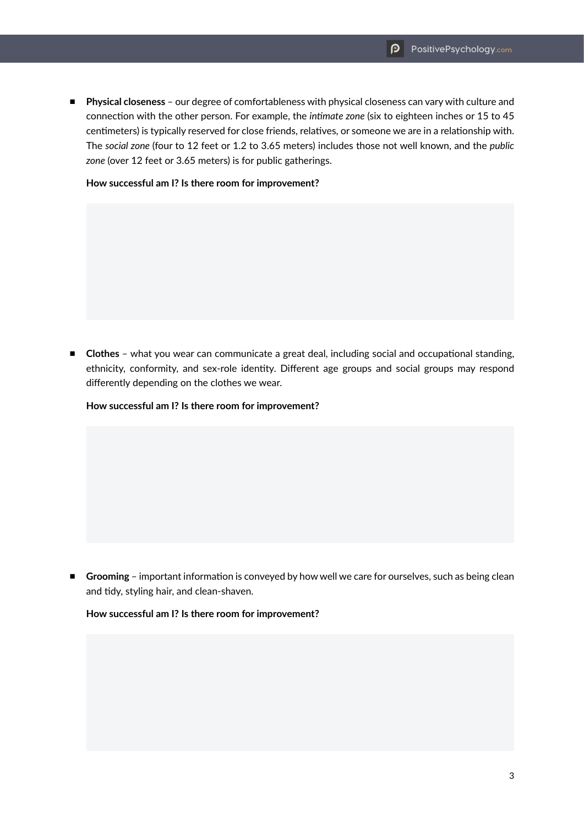■ **Physical closeness** - our degree of comfortableness with physical closeness can vary with culture and connection with the other person. For example, the *intimate zone* (six to eighteen inches or 15 to 45 centimeters) is typically reserved for close friends, relatives, or someone we are in a relationship with. The *social zone* (four to 12 feet or 1.2 to 3.65 meters) includes those not well known, and the *public*  zone (over 12 feet or 3.65 meters) is for public gatherings.

**How successful am I? Is there room for improvement?**

■ **Clothes** - what you wear can communicate a great deal, including social and occupational standing, ethnicity, conformity, and sex-role identity. Different age groups and social groups may respond differently depending on the clothes we wear.

**How successful am I? Is there room for improvement?**

■ **Grooming** – important information is conveyed by how well we care for ourselves, such as being clean and tidy, styling hair, and clean-shaven.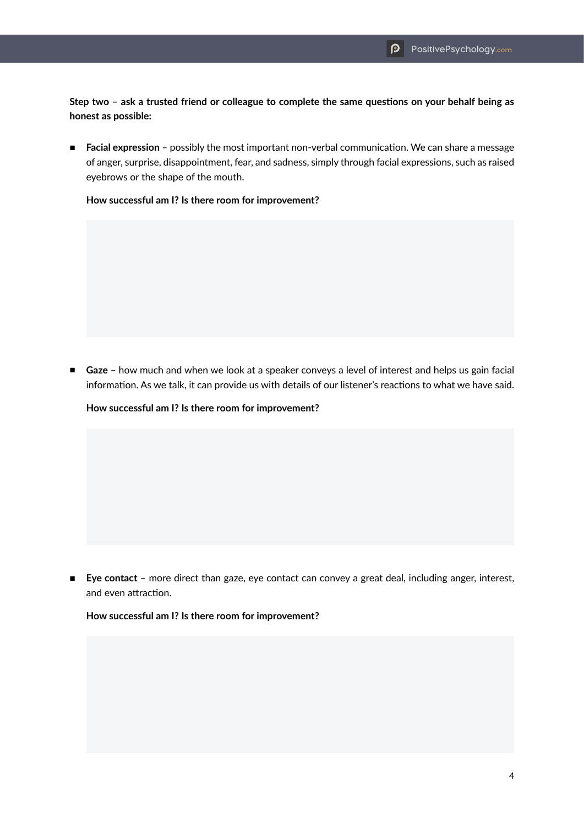**Step two – ask a trusted friend or colleague to complete the same questions on your behalf being as honest as possible:**

■ **Facial expression** – possibly the most important non-verbal communication. We can share a message of anger, surprise, disappointment, fear, and sadness, simply through facial expressions, such as raised eyebrows or the shape of the mouth.

**How successful am I? Is there room for improvement?**

■ **Gaze** - how much and when we look at a speaker conveys a level of interest and helps us gain facial information. As we talk, it can provide us with details of our listener's reactions to what we have said.

**How successful am I? Is there room for improvement?**

■ **Eye contact** - more direct than gaze, eye contact can convey a great deal, including anger, interest, and even attraction.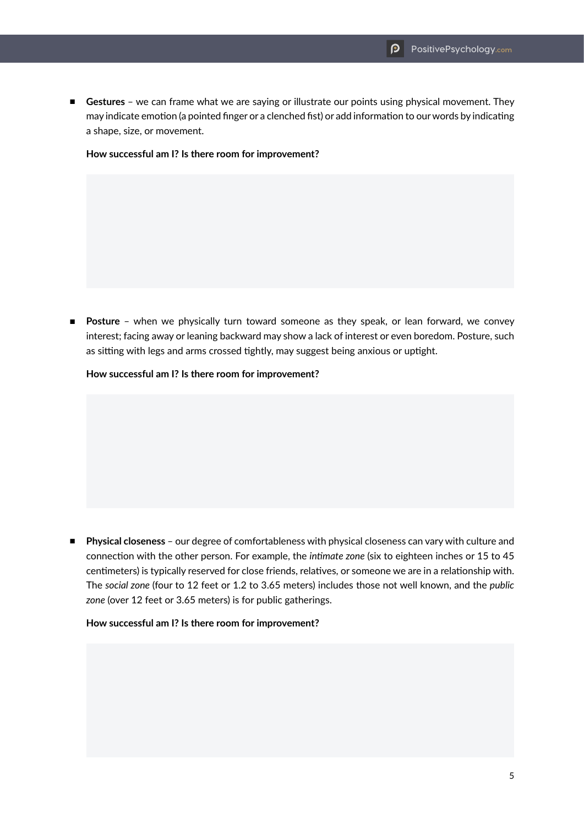■ **Gestures** - we can frame what we are saying or illustrate our points using physical movement. They may indicate emotion (a pointed finger or a clenched fist) or add information to our words by indicating a shape, size, or movement.

**How successful am I? Is there room for improvement?**

■ **Posture** – when we physically turn toward someone as they speak, or lean forward, we convey interest; facing away or leaning backward may show a lack of interest or even boredom. Posture, such as sitting with legs and arms crossed tightly, may suggest being anxious or uptight.

**How successful am I? Is there room for improvement?**

■ **Physical closeness** – our degree of comfortableness with physical closeness can vary with culture and connection with the other person. For example, the *intimate zone* (six to eighteen inches or 15 to 45 centimeters) is typically reserved for close friends, relatives, or someone we are in a relationship with. The *social zone* (four to 12 feet or 1.2 to 3.65 meters) includes those not well known, and the *public*  zone (over 12 feet or 3.65 meters) is for public gatherings.